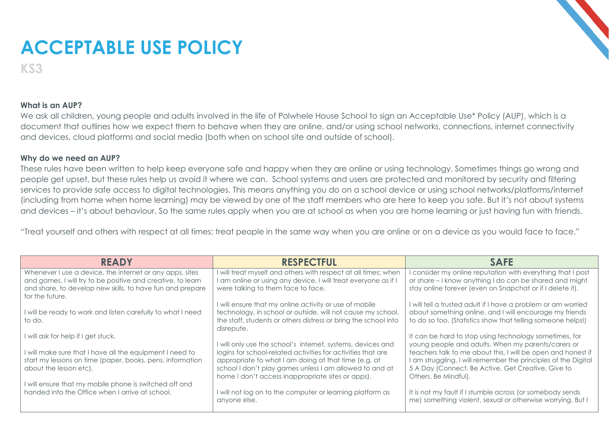## **ACCEPTABLE USE POLICY**

**KS3**

## **What is an AUP?**

We ask all children, young people and adults involved in the life of Polwhele House School to sign an Acceptable Use\* Policy (AUP), which is a document that outlines how we expect them to behave when they are online, and/or using school networks, connections, internet connectivity and devices, cloud platforms and social media (both when on school site and outside of school).

## **Why do we need an AUP?**

These rules have been written to help keep everyone safe and happy when they are online or using technology. Sometimes things go wrong and people get upset, but these rules help us avoid it where we can. School systems and users are protected and monitored by security and filtering services to provide safe access to digital technologies. This means anything you do on a school device or using school networks/platforms/internet (including from home when home learning) may be viewed by one of the staff members who are here to keep you safe. But it's not about systems and devices – it's about behaviour. So the same rules apply when you are at school as when you are home learning or just having fun with friends.

"Treat yourself and others with respect at all times; treat people in the same way when you are online or on a device as you would face to face."

| <b>READY</b>                                                                                                             | <b>RESPECTFUL</b>                                                                                                    | <b>SAFE</b>                                                                                                                    |
|--------------------------------------------------------------------------------------------------------------------------|----------------------------------------------------------------------------------------------------------------------|--------------------------------------------------------------------------------------------------------------------------------|
| Whenever I use a device, the internet or any apps, sites                                                                 | I will treat myself and others with respect at all times; when                                                       | consider my online reputation with everything that I post                                                                      |
| and games, I will try to be positive and creative, to learn<br>and share, to develop new skills, to have fun and prepare | I am online or using any device, I will treat everyone as if I<br>were talking to them face to face.                 | or share - I know anything I do can be shared and might<br>stay online forever (even on Snapchat or if I delete it).           |
| for the future.                                                                                                          |                                                                                                                      |                                                                                                                                |
|                                                                                                                          | I will ensure that my online activity or use of mobile                                                               | I will tell a trusted adult if I have a problem or am worried                                                                  |
| I will be ready to work and listen carefully to what I need                                                              | technology, in school or outside, will not cause my school,                                                          | about something online, and I will encourage my friends                                                                        |
| to do.                                                                                                                   | the staff, students or others distress or bring the school into                                                      | to do so too. (Statistics show that telling someone helps!)                                                                    |
|                                                                                                                          | disrepute.                                                                                                           |                                                                                                                                |
| I will ask for help if I get stuck.                                                                                      |                                                                                                                      | It can be hard to stop using technology sometimes, for                                                                         |
|                                                                                                                          | I will only use the school's internet, systems, devices and                                                          | young people and adults. When my parents/carers or                                                                             |
| I will make sure that I have all the equipment I need to<br>start my lessons on time (paper, books, pens, information    | logins for school-related activities for activities that are<br>appropriate to what I am doing at that time (e.g. at | teachers talk to me about this, I will be open and honest if<br>I am struggling. I will remember the principles of the Digital |
| about the lesson etc).                                                                                                   | school I don't play games unless I am allowed to and at                                                              | 5 A Day (Connect, Be Active, Get Creative, Give to                                                                             |
|                                                                                                                          | home I don't access inappropriate sites or apps).                                                                    | Others, Be Mindful).                                                                                                           |
| I will ensure that my mobile phone is switched off and                                                                   |                                                                                                                      |                                                                                                                                |
| handed into the Office when I arrive at school.                                                                          | I will not log on to the computer or learning platform as                                                            | It is not my fault if I stumble across (or somebody sends                                                                      |
|                                                                                                                          | anyone else.                                                                                                         | me) something violent, sexual or otherwise worrying. But I                                                                     |
|                                                                                                                          |                                                                                                                      |                                                                                                                                |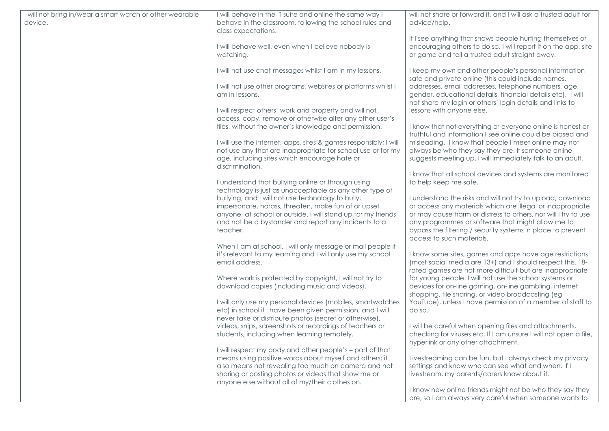| I will not bring in/wear a smart watch or other wearable | I will behave in the IT suite and online the same way I                                                                                                                                                                                      | will not share or forward it, and I will ask a trusted adult for                                                                                                                                                                                                                                                                             |
|----------------------------------------------------------|----------------------------------------------------------------------------------------------------------------------------------------------------------------------------------------------------------------------------------------------|----------------------------------------------------------------------------------------------------------------------------------------------------------------------------------------------------------------------------------------------------------------------------------------------------------------------------------------------|
| device.                                                  | behave in the classroom, following the school rules and<br>class expectations.                                                                                                                                                               | advice/help.                                                                                                                                                                                                                                                                                                                                 |
|                                                          |                                                                                                                                                                                                                                              | If I see anything that shows people hurting themselves or                                                                                                                                                                                                                                                                                    |
|                                                          | I will behave well, even when I believe nobody is<br>watching.                                                                                                                                                                               | encouraging others to do so, I will report it on the app, site<br>or game and tell a trusted adult straight away.                                                                                                                                                                                                                            |
|                                                          | I will not use chat messages whilst I am in my lessons.                                                                                                                                                                                      | I keep my own and other people's personal information<br>safe and private online (this could include names,                                                                                                                                                                                                                                  |
|                                                          | I will not use other programs, websites or platforms whilst I<br>am in lessons.                                                                                                                                                              | addresses, email addresses, telephone numbers, age,<br>gender, educational details, financial details etc). I will<br>not share my login or others' login details and links to                                                                                                                                                               |
|                                                          | I will respect others' work and property and will not<br>access, copy, remove or otherwise alter any other user's                                                                                                                            | lessons with anyone else.                                                                                                                                                                                                                                                                                                                    |
|                                                          | files, without the owner's knowledge and permission.                                                                                                                                                                                         | I know that not everything or everyone online is honest or<br>truthful and information I see online could be biased and                                                                                                                                                                                                                      |
|                                                          | I will use the internet, apps, sites & games responsibly; I will<br>not use any that are inappropriate for school use or for my<br>age, including sites which encourage hate or                                                              | misleading. I know that people I meet online may not<br>always be who they say they are. If someone online<br>suggests meeting up, I will immediately talk to an adult.                                                                                                                                                                      |
|                                                          | discrimination.                                                                                                                                                                                                                              | I know that all school devices and systems are monitored                                                                                                                                                                                                                                                                                     |
|                                                          | I understand that bullying online or through using<br>technology is just as unacceptable as any other type of                                                                                                                                | to help keep me safe.                                                                                                                                                                                                                                                                                                                        |
|                                                          | bullying, and I will not use technology to bully,<br>impersonate, harass, threaten, make fun of or upset<br>anyone, at school or outside. I will stand up for my friends<br>and not be a bystander and report any incidents to a<br>teacher. | I understand the risks and will not try to upload, download<br>or access any materials which are illegal or inappropriate<br>or may cause harm or distress to others, nor will I try to use<br>any programmes or software that might allow me to<br>bypass the filtering / security systems in place to prevent<br>access to such materials. |
|                                                          | When I am at school, I will only message or mail people if                                                                                                                                                                                   |                                                                                                                                                                                                                                                                                                                                              |
|                                                          | it's relevant to my learning and I will only use my school<br>email address.                                                                                                                                                                 | I know some sites, games and apps have age restrictions<br>(most social media are 13+) and I should respect this. 18-<br>rated games are not more difficult but are inappropriate                                                                                                                                                            |
|                                                          | Where work is protected by copyright, I will not try to<br>download copies (including music and videos).                                                                                                                                     | for young people. I will not use the school systems or<br>devices for on-line gaming, on-line gambling, internet<br>shopping, file sharing, or video broadcasting (eg                                                                                                                                                                        |
|                                                          | I will only use my personal devices (mobiles, smartwatches<br>etc) in school if I have been given permission, and I will                                                                                                                     | YouTube), unless I have permission of a member of staff to<br>do so.                                                                                                                                                                                                                                                                         |
|                                                          | never take or distribute photos (secret or otherwise),<br>videos, snips, screenshots or recordings of teachers or<br>students, including when learning remotely.                                                                             | I will be careful when opening files and attachments,<br>checking for viruses etc. If I am unsure I will not open a file,<br>hyperlink or any other attachment.                                                                                                                                                                              |
|                                                          | I will respect my body and other people's - part of that                                                                                                                                                                                     |                                                                                                                                                                                                                                                                                                                                              |
|                                                          | means using positive words about myself and others; it<br>also means not revealing too much on camera and not                                                                                                                                | Livestreaming can be fun, but I always check my privacy<br>settings and know who can see what and when. If I                                                                                                                                                                                                                                 |
|                                                          | sharing or posting photos or videos that show me or<br>anyone else without all of my/their clothes on.                                                                                                                                       | livestream, my parents/carers know about it.                                                                                                                                                                                                                                                                                                 |
|                                                          |                                                                                                                                                                                                                                              | I know new online friends might not be who they say they<br>are, so I am always very careful when someone wants to                                                                                                                                                                                                                           |